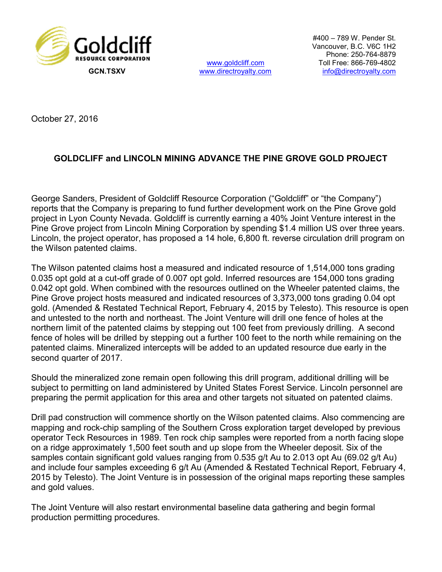

www.goldcliff.com<br>www.directroyalty.com

#400 – 789 W. Pender St. Vancouver, B.C. V6C 1H2 Phone: 250-764-8879 Toll Free: 866-769-4802 GCN.TSXV www.directroyalty.com info@directroyalty.com

October 27, 2016

## GOLDCLIFF and LINCOLN MINING ADVANCE THE PINE GROVE GOLD PROJECT

George Sanders, President of Goldcliff Resource Corporation ("Goldcliff" or "the Company") reports that the Company is preparing to fund further development work on the Pine Grove gold project in Lyon County Nevada. Goldcliff is currently earning a 40% Joint Venture interest in the Pine Grove project from Lincoln Mining Corporation by spending \$1.4 million US over three years. Lincoln, the project operator, has proposed a 14 hole, 6,800 ft. reverse circulation drill program on the Wilson patented claims.

The Wilson patented claims host a measured and indicated resource of 1,514,000 tons grading 0.035 opt gold at a cut-off grade of 0.007 opt gold. Inferred resources are 154,000 tons grading 0.042 opt gold. When combined with the resources outlined on the Wheeler patented claims, the Pine Grove project hosts measured and indicated resources of 3,373,000 tons grading 0.04 opt gold. (Amended & Restated Technical Report, February 4, 2015 by Telesto). This resource is open and untested to the north and northeast. The Joint Venture will drill one fence of holes at the northern limit of the patented claims by stepping out 100 feet from previously drilling. A second fence of holes will be drilled by stepping out a further 100 feet to the north while remaining on the patented claims. Mineralized intercepts will be added to an updated resource due early in the second quarter of 2017.

Should the mineralized zone remain open following this drill program, additional drilling will be subject to permitting on land administered by United States Forest Service. Lincoln personnel are preparing the permit application for this area and other targets not situated on patented claims.

Drill pad construction will commence shortly on the Wilson patented claims. Also commencing are mapping and rock-chip sampling of the Southern Cross exploration target developed by previous operator Teck Resources in 1989. Ten rock chip samples were reported from a north facing slope on a ridge approximately 1,500 feet south and up slope from the Wheeler deposit. Six of the samples contain significant gold values ranging from 0.535 g/t Au to 2.013 opt Au (69.02 g/t Au) and include four samples exceeding 6 g/t Au (Amended & Restated Technical Report, February 4, 2015 by Telesto). The Joint Venture is in possession of the original maps reporting these samples and gold values.

The Joint Venture will also restart environmental baseline data gathering and begin formal production permitting procedures.